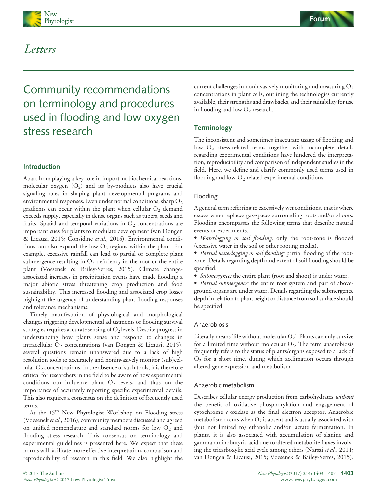



## Letters

# Community recommendations on terminology and procedures used in flooding and low oxygen stress research

## Introduction

Apart from playing a key role in important biochemical reactions, molecular oxygen  $(O_2)$  and its by-products also have crucial signaling roles in shaping plant developmental programs and environmental responses. Even under normal conditions, sharp  $O_2$ gradients can occur within the plant when cellular  $O<sub>2</sub>$  demand exceeds supply, especially in dense organs such as tubers, seeds and fruits. Spatial and temporal variations in  $O_2$  concentrations are important cues for plants to modulate development (van Dongen & Licausi, 2015; Considine et al., 2016). Environmental conditions can also expand the low  $O_2$  regions within the plant. For example, excessive rainfall can lead to partial or complete plant submergence resulting in  $O_2$  deficiency in the root or the entire plant (Voesenek & Bailey-Serres, 2015). Climate changeassociated increases in precipitation events have made flooding a major abiotic stress threatening crop production and food sustainability. This increased flooding and associated crop losses highlight the urgency of understanding plant flooding responses and tolerance mechanisms.

Timely manifestation of physiological and morphological changes triggering developmental adjustments or flooding survival strategies requires accurate sensing of  $O_2$  levels. Despite progress in understanding how plants sense and respond to changes in intracellular  $O_2$  concentrations (van Dongen & Licausi, 2015), several questions remain unanswered due to a lack of high resolution tools to accurately and noninvasively monitor (sub)cellular O<sub>2</sub> concentrations. In the absence of such tools, it is therefore critical for researchers in the field to be aware of how experimental conditions can influence plant  $O_2$  levels, and thus on the importance of accurately reporting specific experimental details. This also requires a consensus on the definition of frequently used terms.

At the 15<sup>th</sup> New Phytologist Workshop on Flooding stress (Voesenek et al., 2016), community members discussed and agreed on unified nomenclature and standard norms for low  $O_2$  and flooding stress research. This consensus on terminology and experimental guidelines is presented here. We expect that these norms will facilitate more effective interpretation, comparison and reproducibility of research in this field. We also highlight the

current challenges in noninvasively monitoring and measuring  $O_2$ concentrations in plant cells, outlining the technologies currently available, their strengths and drawbacks, and their suitability for use in flooding and low  $O_2$  research.

## **Terminology**

The inconsistent and sometimes inaccurate usage of flooding and low O<sub>2</sub> stress-related terms together with incomplete details regarding experimental conditions have hindered the interpretation, reproducibility and comparison of independent studies in the field. Here, we define and clarify commonly used terms used in flooding and low- $O_2$  related experimental conditions.

#### Flooding

A general term referring to excessively wet conditions, that is where excess water replaces gas-spaces surrounding roots and/or shoots. Flooding encompasses the following terms that describe natural events or experiments.

 Waterlogging or soil flooding: only the root-zone is flooded (excessive water in the soil or other rooting media).

• Partial waterlogging or soil flooding: partial flooding of the rootzone. Details regarding depth and extent of soil flooding should be specified.

• Submergence: the entire plant (root and shoot) is under water.

• Partial submergence: the entire root system and part of aboveground organs are under water. Details regarding the submergence depth in relation to plant height or distance from soil surface should be specified.

#### Anaerobiosis

Literally means 'life without molecular  $O_2$ '. Plants can only survive for a limited time without molecular  $O_2$ . The term anaerobiosis frequently refers to the status of plants/organs exposed to a lack of  $O<sub>2</sub>$  for a short time, during which acclimation occurs through altered gene expression and metabolism.

#### Anaerobic metabolism

Describes cellular energy production from carbohydrates without the benefit of oxidative phosphorylation and engagement of cytochrome c oxidase as the final electron acceptor. Anaerobic metabolism occurs when  $O_2$  is absent and is usually associated with (but not limited to) ethanolic and/or lactate fermentation. In plants, it is also associated with accumulation of alanine and gamma-aminobutyric acid due to altered metabolite fluxes involving the tricarboxylic acid cycle among others (Narsai et al., 2011; van Dongen & Licausi, 2015; Voesenek & Bailey-Serres, 2015).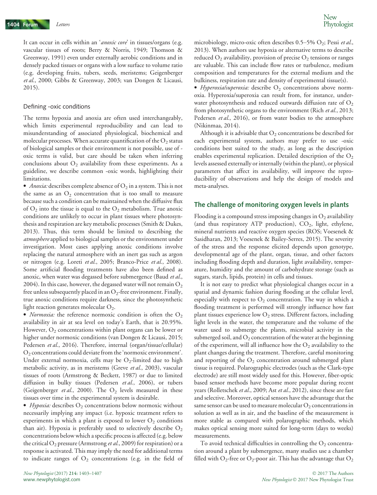It can occur in cells within an '*anoxic core*' in tissues/organs (e.g. vascular tissues of roots; Berry & Norris, 1949; Thomson & Greenway, 1991) even under externally aerobic conditions and in densely packed tissues or organs with a low surface to volume ratio (e.g. developing fruits, tubers, seeds, meristems; Geigenberger et al., 2000; Gibbs & Greenway, 2003; van Dongen & Licausi, 2015).

#### Defining -oxic conditions

The terms hypoxia and anoxia are often used interchangeably, which limits experimental reproducibility and can lead to misunderstanding of associated physiological, biochemical and molecular processes. When accurate quantification of the  $O_2$  status of biological samples or their environment is not possible, use of oxic terms is valid, but care should be taken when inferring conclusions about  $O_2$  availability from these experiments. As a guideline, we describe common -oxic words, highlighting their limitations.

• *Anoxia:* describes complete absence of  $O_2$  in a system. This is not the same as an  $O_2$  concentration that is too small to measure because such a condition can be maintained when the diffusive flux of  $O_2$  into the tissue is equal to the  $O_2$  metabolism. True anoxic conditions are unlikely to occur in plant tissues where photosynthesis and respiration are key metabolic processes (Smith & Dukes, 2013). Thus, this term should be limited to describing the atmosphere applied to biological samples or the environment under investigation. Most cases applying anoxic conditions involve replacing the natural atmosphere with an inert gas such as argon or nitrogen (e.g. Loreti et al., 2005; Branco-Price et al., 2008). Some artificial flooding treatments have also been defined as anoxic, when water was degassed before submergence (Baud et al., 2004). In this case, however, the degassed water will not remain  $O_2$ free unless subsequently placed in an  $O_2$ -free environment. Finally, true anoxic conditions require darkness, since the photosynthetic light reaction generates molecular  $O_2$ .

• *Normoxia:* the reference normoxic condition is often the  $O_2$ availability in air at sea level on today's Earth, that is 20.95%. However,  $O_2$  concentrations within plant organs can be lower or higher under normoxic conditions (van Dongen & Licausi, 2015; Pedersen et al., 2016). Therefore, internal (organ/tissue/cellular)  $O<sub>2</sub>$  concentrations could deviate from the 'normoxic environment'. Under external normoxia, cells may be  $O_2$ -limited due to high metabolic activity, as in meristems (Greve et al., 2003), vascular tissues of roots (Armstrong & Beckett, 1987) or due to limited diffusion in bulky tissues (Pedersen et al., 2006), or tubers (Geigenberger *et al.*, 2000). The  $O_2$  levels measured in these tissues over time in the experimental system is desirable.

 $\bullet$  Hypoxia: describes  $O_2$  concentrations below normoxic without necessarily implying any impact (i.e. hypoxic treatment refers to experiments in which a plant is exposed to lower  $O_2$  conditions than air). Hypoxia is preferably used to selectively describe  $O_2$ concentrations below which a specific process is affected (e.g. below the critical  $O_2$  pressure (Armstrong et al., 2009) for respiration) or a response is activated. This may imply the need for additional terms to indicate ranges of  $O_2$  concentrations (e.g. in the field of microbiology, micro-oxic often describes  $0.5-5\%$  O<sub>2</sub>; Pessi et al., 2013). When authors use hypoxia or alternative terms to describe reduced  $O_2$  availability, provision of precise  $O_2$  tensions or ranges are valuable. This can include flow rates or turbulence, medium composition and temperatures for the external medium and the bulkiness, respiration rate and density of experimental tissue(s).

• Hyperoxia/superoxia: describe  $O_2$  concentrations above normoxia. Hyperoxia/superoxia can result from, for instance, underwater photosynthesis and reduced outwards diffusion rate of  $O<sub>2</sub>$ from photosynthetic organs to the environment (Rich et al., 2013; Pedersen et al., 2016), or from water bodies to the atmosphere (Nikinmaa, 2014).

Although it is advisable that  $O_2$  concentrations be described for each experimental system, authors may prefer to use -oxic conditions best suited to the study, as long as the description enables experimental replication. Detailed description of the  $O_2$ levels assessed externally or internally (within the plant), or physical parameters that affect its availability, will improve the reproducibility of observations and help the design of models and meta-analyses.

#### The challenge of monitoring oxygen levels in plants

Flooding is a compound stress imposing changes in  $O_2$  availability (and thus respiratory ATP production),  $CO<sub>2</sub>$ , light, ethylene, mineral nutrients and reactive oxygen species (ROS; Voesenek & Sasidharan, 2013; Voesenek & Bailey-Serres, 2015). The severity of the stress and the response elicited depends upon genotype, developmental age of the plant, organ, tissue, and other factors including flooding depth and duration, light availability, temperature, humidity and the amount of carbohydrate storage (such as sugars, starch, lipids, protein) in cells and tissues.

It is not easy to predict what physiological changes occur in a spatial and dynamic fashion during flooding at the cellular level, especially with respect to  $O_2$  concentration. The way in which a flooding treatment is performed will strongly influence how fast plant tissues experience low  $O_2$  stress. Different factors, including light levels in the water, the temperature and the volume of the water used to submerge the plants, microbial activity in the submerged soil, and  $O_2$  concentration of the water at the beginning of the experiment, will all influence how the  $O_2$  availability to the plant changes during the treatment. Therefore, careful monitoring and reporting of the  $O_2$  concentration around submerged plant tissue is required. Polarographic electrodes (such as the Clark-type electrode) are still most widely used for this. However, fiber-optic based sensor methods have become more popular during recent years (Rolletschek et al., 2009; Ast et al., 2012), since these are fast and selective. Moreover, optical sensors have the advantage that the same sensor can be used to measure molecular  $O_2$  concentrations in solution as well as in air, and the baseline of the measurement is more stable as compared with polarographic methods, which makes optical sensing more suited for long-term (days to weeks) measurements.

To avoid technical difficulties in controlling the  $O_2$  concentration around a plant by submergence, many studies use a chamber filled with  $O_2$ -free or  $O_2$ -poor air. This has the advantage that  $O_2$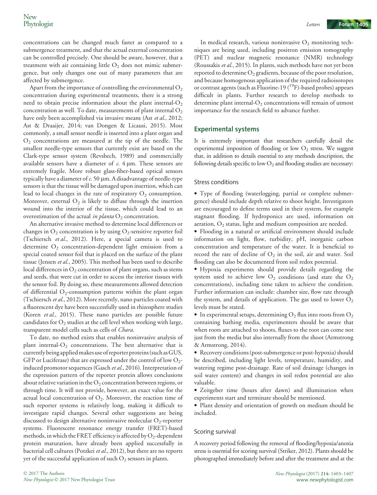concentrations can be changed much faster as compared to a submergence treatment, and that the actual external concentration can be controlled precisely. One should be aware, however, that a treatment with air containing little  $O<sub>2</sub>$  does not mimic submergence, but only changes one out of many parameters that are affected by submergence.

Apart from the importance of controlling the environmental  $O_2$ concentration during experimental treatments, there is a strong need to obtain precise information about the plant internal- $O_2$ concentration as well. To date, measurements of plant internal  $O_2$ have only been accomplished via invasive means (Ast et al., 2012; Ast & Draaijer, 2014; van Dongen & Licausi, 2015). Most commonly, a small sensor needle is inserted into a plant organ and  $O<sub>2</sub>$  concentrations are measured at the tip of the needle. The smallest needle-type sensors that currently exist are based on the Clark-type sensor system (Revsbech, 1989) and commercially available sensors have a diameter of  $c$ . 4  $\mu$ m. These sensors are extremely fragile. More robust glass-fiber-based optical sensors typically have a diameter of  $c$ . 50  $\mu$ m. A disadvantage of needle-type sensors is that the tissue will be damaged upon insertion, which can lead to local changes in the rate of respiratory  $O_2$  consumption. Moreover, external  $O_2$  is likely to diffuse through the insertion wound into the interior of the tissue, which could lead to an overestimation of the actual in planta  $O_2$  concentration.

An alternative invasive method to determine local differences or changes in  $O_2$  concentration is by using  $O_2$ -sensitive reporter foil (Tschiersch et al., 2012). Here, a special camera is used to determine  $O_2$  concentration-dependent light emission from a special coated sensor foil that is placed on the surface of the plant tissue (Jensen et al., 2005). This method has been used to describe local differences in  $O_2$  concentration of plant organs, such as stems and seeds, that were cut in order to access the interior tissues with the sensor foil. By doing so, these measurements allowed detection of differential  $O_2$ -consumption patterns within the plant organ (Tschiersch et al., 2012). More recently, nano particles coated with a fluorescent dye have been successfully used in rhizosphere studies (Koren et al., 2015). These nano particles are possible future candidates for  $O_2$  studies at the cell level when working with large, transparent model cells such as cells of Chara.

To date, no method exists that enables noninvasive analysis of plant internal- $O_2$  concentrations. The best alternative that is currently being appliedmakes useof reporter proteins (such asGUS, GFP or Luciferase) that are expressed under the control of low  $O_{2}$ induced promotor sequences (Gasch et al., 2016). Interpretation of the expression pattern of the reporter protein allows conclusions about relative variation in the  $O_2$  concentration between regions, or through time. It will not provide, however, an exact value for the actual local concentration of  $O_2$ . Moreover, the reaction time of such reporter systems is relatively long, making it difficult to investigate rapid changes. Several other suggestions are being discussed to design alternative noninvasive molecular  $O_2$ -reporter systems. Fluorescent resonance energy transfer (FRET)-based methods, in which the FRET efficiency is affected by  $O_2$ -dependent protein maturation, have already been applied successfully in bacterial cell cultures (Potzkei et al., 2012), but there are no reports yet of the successful application of such  $O_2$  sensors in plants.

In medical research, various noninvasive  $O_2$  monitoring techniques are being used, including positron emission tomography (PET) and nuclear magnetic resonance (NMR) technology (Roussakis et al., 2015). In plants, such methods have not yet been reported to determine  $O_2$  gradients, because of the poor resolution, and because homogenous application of the required radioisotopes or contrast agents (such as Fluorine-19  $(^{19}F)$ -based probes) appears difficult in plants. Further research to develop methods to determine plant internal- $O<sub>2</sub>$  concentrations will remain of utmost importance for the research field to advance further.

### Experimental systems

It is extremely important that researchers carefully detail the experimental imposition of flooding or low  $O<sub>2</sub>$  stress. We suggest that, in addition to details essential to any methods description, the following details specific to low  $O_2$  and flooding studies are necessary:

#### Stress conditions

 Type of flooding (waterlogging, partial or complete submergence) should include depth relative to shoot height. Investigators are encouraged to define terms used in their system, for example stagnant flooding. If hydroponics are used, information on aeration,  $O_2$  status, light and medium composition are needed.

 Flooding in a natural or artificial environment should include information on light, flow, turbidity, pH, inorganic carbon concentration and temperature of the water. It is beneficial to record the rate of decline of  $O_2$  in the soil, air and water. Soil flooding can also be documented from soil redox potential.

 Hypoxia experiments should provide details regarding the system used to achieve low  $O_2$  conditions (and state the  $O_2$ concentrations), including time taken to achieve the condition. Further information can include: chamber size, flow rate through the system, and details of application. The gas used to lower  $O_2$ levels must be stated.

• In experimental setups, determining  $O_2$  flux into roots from  $O_2$ containing bathing media, experimenters should be aware that when roots are attached to shoots, fluxes to the root can come not just from the media but also internally from the shoot (Armstrong & Armstrong, 2014).

 Recovery conditions (post-submergence or post-hypoxia) should be described, including light levels, temperature, humidity, and watering regime post-drainage. Rate of soil drainage (changes in soil water content) and changes in soil redox potential are also valuable.

 Zeitgeber time (hours after dawn) and illumination when experiments start and terminate should be mentioned.

 Plant density and orientation of growth on medium should be included.

#### Scoring survival

A recovery period following the removal of flooding/hypoxia/anoxia stress is essential for scoring survival (Striker, 2012). Plants should be photographed immediately before and after the treatment and at the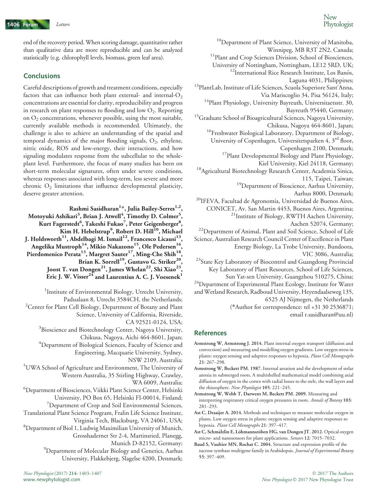end of the recovery period.When scoring damage, quantitative rather than qualitative data are more reproducible and can be analyzed statistically (e.g. chlorophyll levels, biomass, green leaf area).

## **Conclusions**

Careful descriptions of growth and treatment conditions, especially factors that can influence both plant external- and internal- $O<sub>2</sub>$ concentrations are essential for clarity, reproducibility and progress in research on plant responses to flooding and low  $O_2$ . Reporting on  $O_2$  concentrations, whenever possible, using the most suitable, currently available methods is recommended. Ultimately, the challenge is also to achieve an understanding of the spatial and temporal dynamics of the major flooding signals,  $O_2$ , ethylene, nitric oxide, ROS and low-energy, their interactions, and how signaling modulates response from the subcellular to the wholeplant level. Furthermore, the focus of many studies has been on short-term molecular signatures, often under severe conditions, whereas responses associated with long-term, less severe and more chronic  $O_2$  limitations that influence developmental plasticity, deserve greater attention.

Rashmi Sasidharan<sup>1</sup>\*, Julia Bailey-Serres<sup>1,2</sup>, Motoyuki Ashikari<sup>3</sup>, Brian J. Atwell<sup>4</sup>, Timothy D. Colmer<sup>5</sup>, Kurt Fagerstedt $\rm^6$ , Takeshi Fukao $^7$ , Peter Geigenberger $\rm^8$ , Kim H. Hebelstrup $^9$ , Robert D. Hill $^{\bar{1}0}$ , Michael J. Holdsworth $^{11}\!$ , Abdelbagi M. Ismail $^{12}\!$ , Francesco Licausi $^{13}\!$ , Angelika Mustroph $^{14},$  Mikio Nakazono $^{15},$  Ole Pedersen $^{16},$ Pierdomenico Perata<sup>13</sup>, Margret Sauter<sup>17</sup>, Ming-Che Shih<sup>18</sup>, Brian K. Sorrell<sup>19</sup>, Gustavo G. Striker<sup>20</sup>, Joost T. van Dongen<sup>21</sup>, James Whelan<sup>22</sup>, Shi Xiao<sup>23</sup>, Eric J. W. Visser<sup>24</sup> and Laurentius A. C. J. Voesenek<sup>1</sup>

- <sup>1</sup>Institute of Environmental Biology, Utrecht University, Padualaan 8, Utrecht 3584CH, the Netherlands; <sup>2</sup> Center for Plant Cell Biology, Department of Botany and Plant Science, University of California, Riverside, CA 92521-0124, USA; <sup>3</sup>Bioscience and Biotechnology Center, Nagoya University, Chikusa, Nagoya, Aichi 464-8601, Japan; 4 Department of Biological Sciences, Faculty of Science and Engineering, Macquarie University, Sydney, NSW 2109, Australia; 5 UWA School of Agriculture and Environment, The University of Western Australia, 35 Stirling Highway, Crawley, WA 6009, Australia; 6 Department of Biosciences, Viikki Plant Science Center, Helsinki University, PO Box 65, Helsinki FI-00014, Finland; <sup>7</sup>Department of Crop and Soil Environmental Sciences, Translational Plant Science Program, Fralin Life Science Institute, Virginia Tech, Blacksburg, VA 24061, USA; <sup>8</sup> Department of Biol 1, Ludwig Maximilian University of Munich, Grosshaderner Str 2-4, Martinsried, Planegg,
	- Munich D-82152, Germany;
	- <sup>9</sup>Department of Molecular Biology and Genetics, Aarhus University, Flakkebjerg, Slagelse 4200, Denmark;

 $^{10}$ Department of Plant Science, University of Manitoba,<br>Winnipeg, MB R3T 2N2, Canada; <sup>11</sup> Plant and Crop Sciences Division, School of Biosciences, University of Nottingham, Nottingham, LE12 5RD, UK;  $12$ International Rice Research Institute, Los Banos, Laguna 4031, Philippines; 13PlantLab, Institute of Life Sciences, Scuola Superiore Sant'Anna, Via Mariscoglio 34, Pisa 56124, Italy; <sup>14</sup>Plant Physiology, University Bayreuth, Universitaetsstr. 30, Bayreuth 95440, Germany; <sup>15</sup>Graduate School of Bioagricultural Sciences, Nagoya University, Chikusa, Nagoya 464-8601, Japan; <sup>16</sup>Freshwater Biological Laboratory, Department of Biology, University of Copenhagen, Universitetsparken 4, 3<sup>rd</sup> floor, Copenhagen 2100, Denmark; <sup>17</sup>Plant Developmental Biology and Plant Physiology, Kiel University, Kiel 24118, Germany;<br><sup>18</sup>Agricultural Biotechnology Research Center, Academia Sinica, 115, Taipei, Taiwan; <sup>19</sup>Department of Bioscience, Aarhus University, Aarhus 8000, Denmark;<br><sup>20</sup>IFEVA, Facultad de Agronomía, Universidad de Buenos Aires, CONICET, Av. San Martin 4453, Buenos Aires, Argentina; 21Institute of Biology, RWTH Aachen University, Aachen 52074, Germany; 22Department of Animal, Plant and Soil Science, School of Life Science, Australian Research Council Center of Excellence in Plant Energy Biology, La Trobe University, Bundoora, VIC 3086, Australia; <sup>23</sup>State Key Laboratory of Biocontrol and Guangdong Provincial Key Laboratory of Plant Resources, School of Life Sciences, Sun Yat-sen University, Guangzhou 510275, China; <sup>24</sup>Department of Experimental Plant Ecology, Institute for Water andWetland Research, Radboud University, Heyendaalseweg 135, 6525 AJ Nijmegen, the Netherlands (\*Author for correspondence: tel +31 30 2536871; email r.sasidharan@uu.nl)

## References

- Armstrong W, Armstrong J. 2014. Plant internal oxygen transport (diffusion and convection) and measuring and modelling oxygen gradients. Low oxygen stress in plants: oxygen sensing and adaptive responses to hypoxia. Plant Cell Monographs 21: 267–298.
- Armstrong W, Beckett PM. 1987. Internal aeration and the development of stelar anoxia in submerged roots. A multishelled mathematical model combining axial diffusion of oxygen in the cortex with radial losses to the stele, the wall layers and the rhizosphere. New Phytologist 105: 221–245.
- Armstrong W, Webb T, Darwent M, Beckett PM. 2009. Measuring and interpreting respiratory critical oxygen pressures in roots. Annals of Botany 103: 281–293.
- Ast C, Draaijer A. 2014. Methods and techniques to measure molecular oxygen in plants. Low oxygen stress in plants: oxygen sensing and adaptive responses to hypoxia. Plant Cell Monographs 21: 397-417.
- Ast C, Schmälzlin E, Löhmannsröben HG, van Dongen JT. 2012. Optical oxygen micro- and nanosensors for plant applications. Sensors 12: 7015–7032.
- Baud S, Vaultier MN, Rochat C. 2004. Structure and expression profile of the sucrose synthase multigene family in Arabidopsis. Journal of Experimental Botany 55: 397–409.